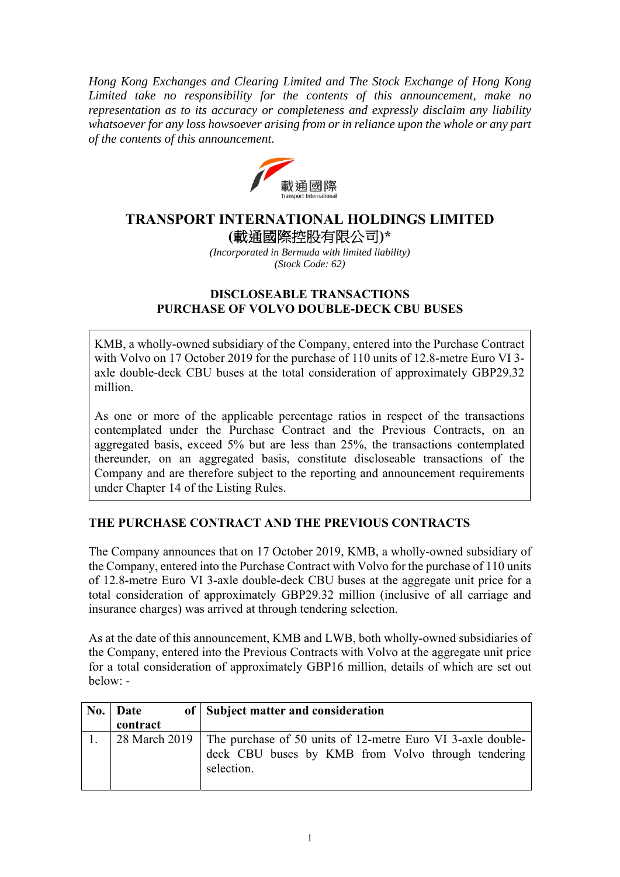*Hong Kong Exchanges and Clearing Limited and The Stock Exchange of Hong Kong Limited take no responsibility for the contents of this announcement, make no representation as to its accuracy or completeness and expressly disclaim any liability whatsoever for any loss howsoever arising from or in reliance upon the whole or any part of the contents of this announcement.* 



# **TRANSPORT INTERNATIONAL HOLDINGS LIMITED (**載通國際控股有限公司**)\***

*(Incorporated in Bermuda with limited liability) (Stock Code: 62)* 

### **DISCLOSEABLE TRANSACTIONS PURCHASE OF VOLVO DOUBLE-DECK CBU BUSES**

KMB, a wholly-owned subsidiary of the Company, entered into the Purchase Contract with Volvo on 17 October 2019 for the purchase of 110 units of 12.8-metre Euro VI 3 axle double-deck CBU buses at the total consideration of approximately GBP29.32 million.

As one or more of the applicable percentage ratios in respect of the transactions contemplated under the Purchase Contract and the Previous Contracts, on an aggregated basis, exceed 5% but are less than 25%, the transactions contemplated thereunder, on an aggregated basis, constitute discloseable transactions of the Company and are therefore subject to the reporting and announcement requirements under Chapter 14 of the Listing Rules.

## **THE PURCHASE CONTRACT AND THE PREVIOUS CONTRACTS**

The Company announces that on 17 October 2019, KMB, a wholly-owned subsidiary of the Company, entered into the Purchase Contract with Volvo for the purchase of 110 units of 12.8-metre Euro VI 3-axle double-deck CBU buses at the aggregate unit price for a total consideration of approximately GBP29.32 million (inclusive of all carriage and insurance charges) was arrived at through tendering selection.

As at the date of this announcement, KMB and LWB, both wholly-owned subsidiaries of the Company, entered into the Previous Contracts with Volvo at the aggregate unit price for a total consideration of approximately GBP16 million, details of which are set out below: -

| No. Date | of Subject matter and consideration                                                                                                             |
|----------|-------------------------------------------------------------------------------------------------------------------------------------------------|
| contract |                                                                                                                                                 |
|          | 28 March 2019   The purchase of 50 units of 12-metre Euro VI 3-axle double-<br>deck CBU buses by KMB from Volvo through tendering<br>selection. |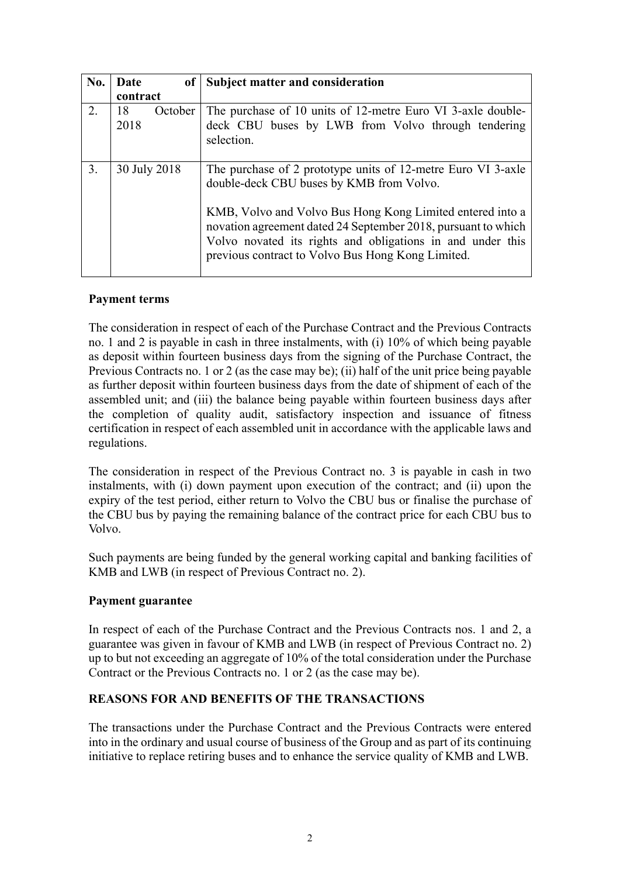| No. | Date<br>of            | <b>Subject matter and consideration</b>                                                                                                                                                                                                                                                                                                                   |
|-----|-----------------------|-----------------------------------------------------------------------------------------------------------------------------------------------------------------------------------------------------------------------------------------------------------------------------------------------------------------------------------------------------------|
|     | contract              |                                                                                                                                                                                                                                                                                                                                                           |
| 2.  | 18<br>October<br>2018 | The purchase of 10 units of 12-metre Euro VI 3-axle double-<br>deck CBU buses by LWB from Volvo through tendering<br>selection.                                                                                                                                                                                                                           |
| 3.  | 30 July 2018          | The purchase of 2 prototype units of 12-metre Euro VI 3-axle<br>double-deck CBU buses by KMB from Volvo.<br>KMB, Volvo and Volvo Bus Hong Kong Limited entered into a<br>novation agreement dated 24 September 2018, pursuant to which<br>Volvo novated its rights and obligations in and under this<br>previous contract to Volvo Bus Hong Kong Limited. |

### **Payment terms**

The consideration in respect of each of the Purchase Contract and the Previous Contracts no. 1 and 2 is payable in cash in three instalments, with (i) 10% of which being payable as deposit within fourteen business days from the signing of the Purchase Contract, the Previous Contracts no. 1 or 2 (as the case may be); (ii) half of the unit price being payable as further deposit within fourteen business days from the date of shipment of each of the assembled unit; and (iii) the balance being payable within fourteen business days after the completion of quality audit, satisfactory inspection and issuance of fitness certification in respect of each assembled unit in accordance with the applicable laws and regulations.

The consideration in respect of the Previous Contract no. 3 is payable in cash in two instalments, with (i) down payment upon execution of the contract; and (ii) upon the expiry of the test period, either return to Volvo the CBU bus or finalise the purchase of the CBU bus by paying the remaining balance of the contract price for each CBU bus to Volvo.

Such payments are being funded by the general working capital and banking facilities of KMB and LWB (in respect of Previous Contract no. 2).

### **Payment guarantee**

In respect of each of the Purchase Contract and the Previous Contracts nos. 1 and 2, a guarantee was given in favour of KMB and LWB (in respect of Previous Contract no. 2) up to but not exceeding an aggregate of 10% of the total consideration under the Purchase Contract or the Previous Contracts no. 1 or 2 (as the case may be).

#### **REASONS FOR AND BENEFITS OF THE TRANSACTIONS**

The transactions under the Purchase Contract and the Previous Contracts were entered into in the ordinary and usual course of business of the Group and as part of its continuing initiative to replace retiring buses and to enhance the service quality of KMB and LWB.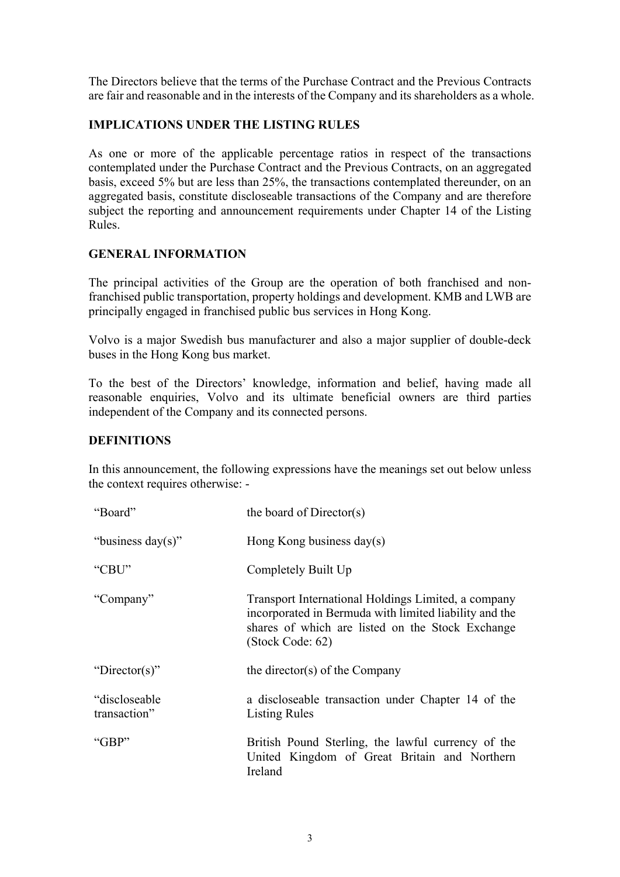The Directors believe that the terms of the Purchase Contract and the Previous Contracts are fair and reasonable and in the interests of the Company and its shareholders as a whole.

## **IMPLICATIONS UNDER THE LISTING RULES**

As one or more of the applicable percentage ratios in respect of the transactions contemplated under the Purchase Contract and the Previous Contracts, on an aggregated basis, exceed 5% but are less than 25%, the transactions contemplated thereunder, on an aggregated basis, constitute discloseable transactions of the Company and are therefore subject the reporting and announcement requirements under Chapter 14 of the Listing Rules.

### **GENERAL INFORMATION**

The principal activities of the Group are the operation of both franchised and nonfranchised public transportation, property holdings and development. KMB and LWB are principally engaged in franchised public bus services in Hong Kong.

Volvo is a major Swedish bus manufacturer and also a major supplier of double-deck buses in the Hong Kong bus market.

To the best of the Directors' knowledge, information and belief, having made all reasonable enquiries, Volvo and its ultimate beneficial owners are third parties independent of the Company and its connected persons.

## **DEFINITIONS**

In this announcement, the following expressions have the meanings set out below unless the context requires otherwise: -

| "Board"                        | the board of Director(s)                                                                                                                                                              |
|--------------------------------|---------------------------------------------------------------------------------------------------------------------------------------------------------------------------------------|
| "business day(s)"              | Hong Kong business $day(s)$                                                                                                                                                           |
| "CBU"                          | Completely Built Up                                                                                                                                                                   |
| "Company"                      | Transport International Holdings Limited, a company<br>incorporated in Bermuda with limited liability and the<br>shares of which are listed on the Stock Exchange<br>(Stock Code: 62) |
| "Director(s)"                  | the director(s) of the Company                                                                                                                                                        |
| "discloseable"<br>transaction" | a discloseable transaction under Chapter 14 of the<br><b>Listing Rules</b>                                                                                                            |
| " $GBP"$                       | British Pound Sterling, the lawful currency of the<br>United Kingdom of Great Britain and Northern<br>Ireland                                                                         |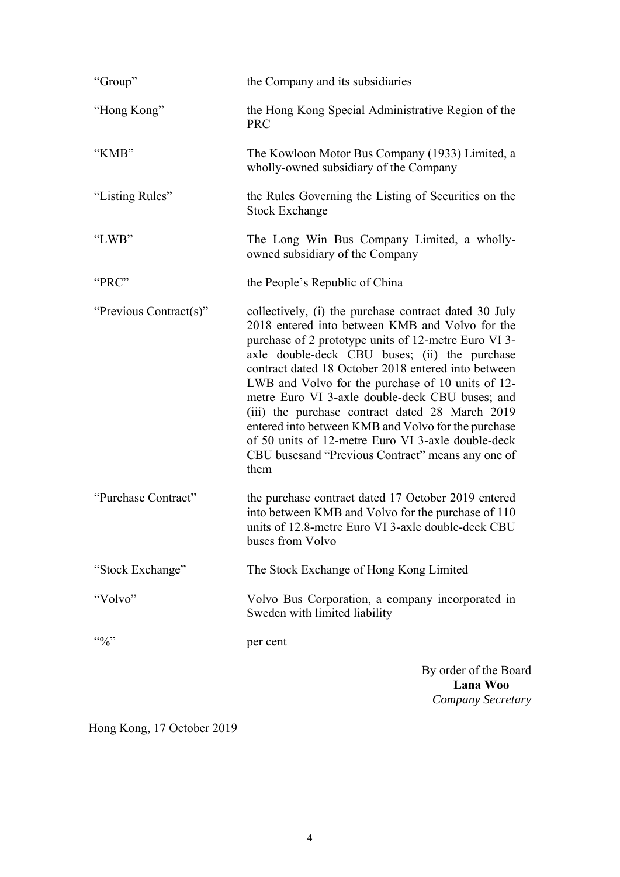| "Group"                   | the Company and its subsidiaries                                                                                                                                                                                                                                                                                                                                                                                                                                                                                                                                                                              |
|---------------------------|---------------------------------------------------------------------------------------------------------------------------------------------------------------------------------------------------------------------------------------------------------------------------------------------------------------------------------------------------------------------------------------------------------------------------------------------------------------------------------------------------------------------------------------------------------------------------------------------------------------|
| "Hong Kong"               | the Hong Kong Special Administrative Region of the<br><b>PRC</b>                                                                                                                                                                                                                                                                                                                                                                                                                                                                                                                                              |
| "KMB"                     | The Kowloon Motor Bus Company (1933) Limited, a<br>wholly-owned subsidiary of the Company                                                                                                                                                                                                                                                                                                                                                                                                                                                                                                                     |
| "Listing Rules"           | the Rules Governing the Listing of Securities on the<br><b>Stock Exchange</b>                                                                                                                                                                                                                                                                                                                                                                                                                                                                                                                                 |
| "LWB"                     | The Long Win Bus Company Limited, a wholly-<br>owned subsidiary of the Company                                                                                                                                                                                                                                                                                                                                                                                                                                                                                                                                |
| "PRC"                     | the People's Republic of China                                                                                                                                                                                                                                                                                                                                                                                                                                                                                                                                                                                |
| "Previous Contract(s)"    | collectively, (i) the purchase contract dated 30 July<br>2018 entered into between KMB and Volvo for the<br>purchase of 2 prototype units of 12-metre Euro VI 3-<br>axle double-deck CBU buses; (ii) the purchase<br>contract dated 18 October 2018 entered into between<br>LWB and Volvo for the purchase of 10 units of 12-<br>metre Euro VI 3-axle double-deck CBU buses; and<br>(iii) the purchase contract dated 28 March 2019<br>entered into between KMB and Volvo for the purchase<br>of 50 units of 12-metre Euro VI 3-axle double-deck<br>CBU busesand "Previous Contract" means any one of<br>them |
| "Purchase Contract"       | the purchase contract dated 17 October 2019 entered<br>into between KMB and Volvo for the purchase of 110<br>units of 12.8-metre Euro VI 3-axle double-deck CBU<br>buses from Volvo                                                                                                                                                                                                                                                                                                                                                                                                                           |
| "Stock Exchange"          | The Stock Exchange of Hong Kong Limited                                                                                                                                                                                                                                                                                                                                                                                                                                                                                                                                                                       |
| "Volvo"                   | Volvo Bus Corporation, a company incorporated in<br>Sweden with limited liability                                                                                                                                                                                                                                                                                                                                                                                                                                                                                                                             |
| $\cdot \cdot \cdot \cdot$ | per cent                                                                                                                                                                                                                                                                                                                                                                                                                                                                                                                                                                                                      |
|                           | By order of the Board<br>Lana Woo                                                                                                                                                                                                                                                                                                                                                                                                                                                                                                                                                                             |

Hong Kong, 17 October 2019

*Company Secretary*